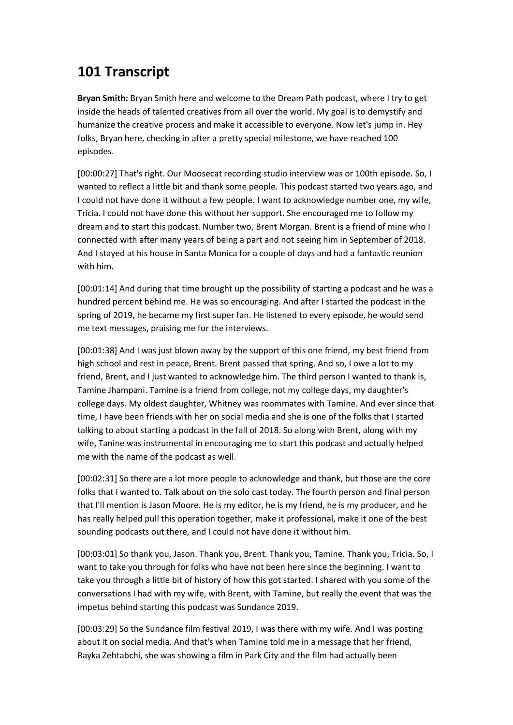## **101 Transcript**

**Bryan Smith:** Bryan Smith here and welcome to the Dream Path podcast, where I try to get inside the heads of talented creatives from all over the world. My goal is to demystify and humanize the creative process and make it accessible to everyone. Now let's jump in. Hey folks, Bryan here, checking in after a pretty special milestone, we have reached 100 episodes.

[00:00:27] That's right. Our Moosecat recording studio interview was or 100th episode. So, I wanted to reflect a little bit and thank some people. This podcast started two years ago, and I could not have done it without a few people. I want to acknowledge number one, my wife, Tricia. I could not have done this without her support. She encouraged me to follow my dream and to start this podcast. Number two, Brent Morgan. Brent is a friend of mine who I connected with after many years of being a part and not seeing him in September of 2018. And I stayed at his house in Santa Monica for a couple of days and had a fantastic reunion with him.

[00:01:14] And during that time brought up the possibility of starting a podcast and he was a hundred percent behind me. He was so encouraging. And after I started the podcast in the spring of 2019, he became my first super fan. He listened to every episode, he would send me text messages, praising me for the interviews.

[00:01:38] And I was just blown away by the support of this one friend, my best friend from high school and rest in peace, Brent. Brent passed that spring. And so, I owe a lot to my friend, Brent, and I just wanted to acknowledge him. The third person I wanted to thank is, Tamine Jhampani. Tamine is a friend from college, not my college days, my daughter's college days. My oldest daughter, Whitney was roommates with Tamine. And ever since that time, I have been friends with her on social media and she is one of the folks that I started talking to about starting a podcast in the fall of 2018. So along with Brent, along with my wife, Tanine was instrumental in encouraging me to start this podcast and actually helped me with the name of the podcast as well.

[00:02:31] So there are a lot more people to acknowledge and thank, but those are the core folks that I wanted to. Talk about on the solo cast today. The fourth person and final person that I'll mention is Jason Moore. He is my editor, he is my friend, he is my producer, and he has really helped pull this operation together, make it professional, make it one of the best sounding podcasts out there, and I could not have done it without him.

[00:03:01] So thank you, Jason. Thank you, Brent. Thank you, Tamine. Thank you, Tricia. So, I want to take you through for folks who have not been here since the beginning. I want to take you through a little bit of history of how this got started. I shared with you some of the conversations I had with my wife, with Brent, with Tamine, but really the event that was the impetus behind starting this podcast was Sundance 2019.

[00:03:29] So the Sundance film festival 2019, I was there with my wife. And I was posting about it on social media. And that's when Tamine told me in a message that her friend, Rayka Zehtabchi, she was showing a film in Park City and the film had actually been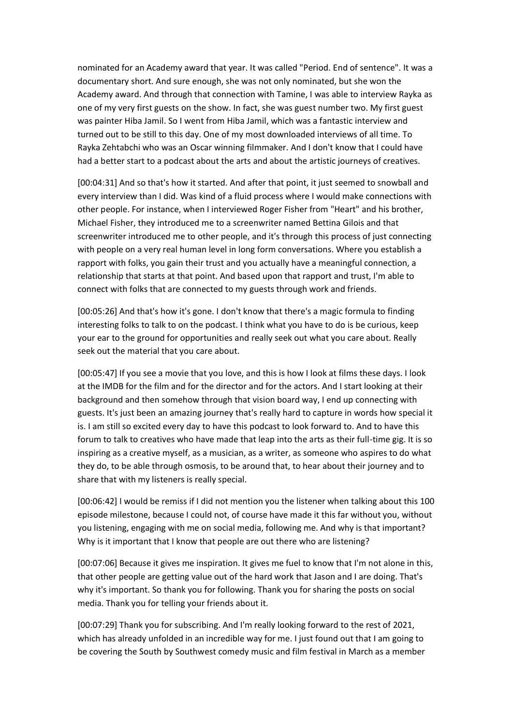nominated for an Academy award that year. It was called "Period. End of sentence". It was a documentary short. And sure enough, she was not only nominated, but she won the Academy award. And through that connection with Tamine, I was able to interview Rayka as one of my very first guests on the show. In fact, she was guest number two. My first guest was painter Hiba Jamil. So I went from Hiba Jamil, which was a fantastic interview and turned out to be still to this day. One of my most downloaded interviews of all time. To Rayka Zehtabchi who was an Oscar winning filmmaker. And I don't know that I could have had a better start to a podcast about the arts and about the artistic journeys of creatives.

[00:04:31] And so that's how it started. And after that point, it just seemed to snowball and every interview than I did. Was kind of a fluid process where I would make connections with other people. For instance, when I interviewed Roger Fisher from "Heart" and his brother, Michael Fisher, they introduced me to a screenwriter named Bettina Gilois and that screenwriter introduced me to other people, and it's through this process of just connecting with people on a very real human level in long form conversations. Where you establish a rapport with folks, you gain their trust and you actually have a meaningful connection, a relationship that starts at that point. And based upon that rapport and trust, I'm able to connect with folks that are connected to my guests through work and friends.

[00:05:26] And that's how it's gone. I don't know that there's a magic formula to finding interesting folks to talk to on the podcast. I think what you have to do is be curious, keep your ear to the ground for opportunities and really seek out what you care about. Really seek out the material that you care about.

[00:05:47] If you see a movie that you love, and this is how I look at films these days. I look at the IMDB for the film and for the director and for the actors. And I start looking at their background and then somehow through that vision board way, I end up connecting with guests. It's just been an amazing journey that's really hard to capture in words how special it is. I am still so excited every day to have this podcast to look forward to. And to have this forum to talk to creatives who have made that leap into the arts as their full-time gig. It is so inspiring as a creative myself, as a musician, as a writer, as someone who aspires to do what they do, to be able through osmosis, to be around that, to hear about their journey and to share that with my listeners is really special.

[00:06:42] I would be remiss if I did not mention you the listener when talking about this 100 episode milestone, because I could not, of course have made it this far without you, without you listening, engaging with me on social media, following me. And why is that important? Why is it important that I know that people are out there who are listening?

[00:07:06] Because it gives me inspiration. It gives me fuel to know that I'm not alone in this, that other people are getting value out of the hard work that Jason and I are doing. That's why it's important. So thank you for following. Thank you for sharing the posts on social media. Thank you for telling your friends about it.

[00:07:29] Thank you for subscribing. And I'm really looking forward to the rest of 2021, which has already unfolded in an incredible way for me. I just found out that I am going to be covering the South by Southwest comedy music and film festival in March as a member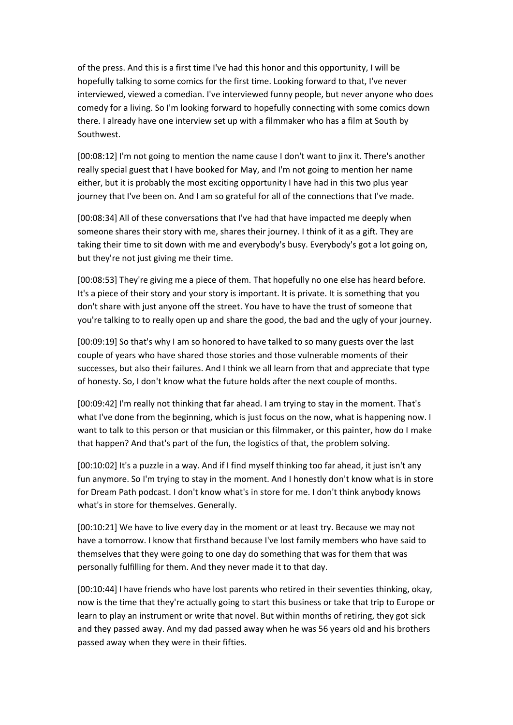of the press. And this is a first time I've had this honor and this opportunity, I will be hopefully talking to some comics for the first time. Looking forward to that, I've never interviewed, viewed a comedian. I've interviewed funny people, but never anyone who does comedy for a living. So I'm looking forward to hopefully connecting with some comics down there. I already have one interview set up with a filmmaker who has a film at South by Southwest.

[00:08:12] I'm not going to mention the name cause I don't want to jinx it. There's another really special guest that I have booked for May, and I'm not going to mention her name either, but it is probably the most exciting opportunity I have had in this two plus year journey that I've been on. And I am so grateful for all of the connections that I've made.

[00:08:34] All of these conversations that I've had that have impacted me deeply when someone shares their story with me, shares their journey. I think of it as a gift. They are taking their time to sit down with me and everybody's busy. Everybody's got a lot going on, but they're not just giving me their time.

[00:08:53] They're giving me a piece of them. That hopefully no one else has heard before. It's a piece of their story and your story is important. It is private. It is something that you don't share with just anyone off the street. You have to have the trust of someone that you're talking to to really open up and share the good, the bad and the ugly of your journey.

[00:09:19] So that's why I am so honored to have talked to so many guests over the last couple of years who have shared those stories and those vulnerable moments of their successes, but also their failures. And I think we all learn from that and appreciate that type of honesty. So, I don't know what the future holds after the next couple of months.

[00:09:42] I'm really not thinking that far ahead. I am trying to stay in the moment. That's what I've done from the beginning, which is just focus on the now, what is happening now. I want to talk to this person or that musician or this filmmaker, or this painter, how do I make that happen? And that's part of the fun, the logistics of that, the problem solving.

[00:10:02] It's a puzzle in a way. And if I find myself thinking too far ahead, it just isn't any fun anymore. So I'm trying to stay in the moment. And I honestly don't know what is in store for Dream Path podcast. I don't know what's in store for me. I don't think anybody knows what's in store for themselves. Generally.

[00:10:21] We have to live every day in the moment or at least try. Because we may not have a tomorrow. I know that firsthand because I've lost family members who have said to themselves that they were going to one day do something that was for them that was personally fulfilling for them. And they never made it to that day.

[00:10:44] I have friends who have lost parents who retired in their seventies thinking, okay, now is the time that they're actually going to start this business or take that trip to Europe or learn to play an instrument or write that novel. But within months of retiring, they got sick and they passed away. And my dad passed away when he was 56 years old and his brothers passed away when they were in their fifties.